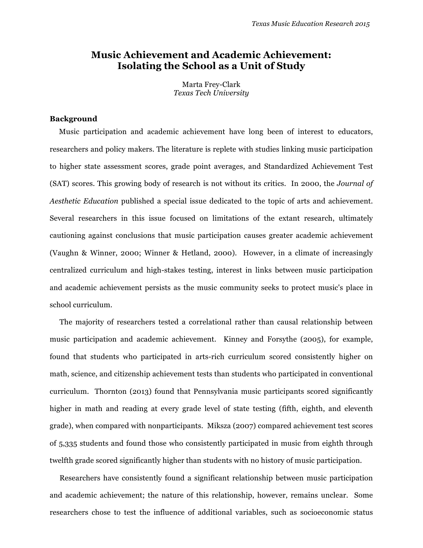# **Music Achievement and Academic Achievement: Isolating the School as a Unit of Study**

Marta Frey-Clark *Texas Tech University*

### **Background**

Music participation and academic achievement have long been of interest to educators, researchers and policy makers. The literature is replete with studies linking music participation to higher state assessment scores, grade point averages, and Standardized Achievement Test (SAT) scores. This growing body of research is not without its critics. In 2000, the *Journal of Aesthetic Education* published a special issue dedicated to the topic of arts and achievement. Several researchers in this issue focused on limitations of the extant research, ultimately cautioning against conclusions that music participation causes greater academic achievement (Vaughn & Winner, 2000; Winner & Hetland, 2000). However, in a climate of increasingly centralized curriculum and high-stakes testing, interest in links between music participation and academic achievement persists as the music community seeks to protect music's place in school curriculum.

The majority of researchers tested a correlational rather than causal relationship between music participation and academic achievement. Kinney and Forsythe (2005), for example, found that students who participated in arts-rich curriculum scored consistently higher on math, science, and citizenship achievement tests than students who participated in conventional curriculum. Thornton (2013) found that Pennsylvania music participants scored significantly higher in math and reading at every grade level of state testing (fifth, eighth, and eleventh grade), when compared with nonparticipants. Miksza (2007) compared achievement test scores of 5,335 students and found those who consistently participated in music from eighth through twelfth grade scored significantly higher than students with no history of music participation.

Researchers have consistently found a significant relationship between music participation and academic achievement; the nature of this relationship, however, remains unclear. Some researchers chose to test the influence of additional variables, such as socioeconomic status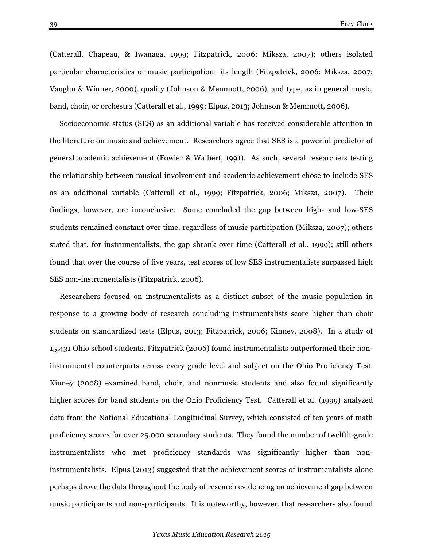(Catterall, Chapeau, & Iwanaga, 1999; Fitzpatrick, 2006; Miksza, 2007); others isolated particular characteristics of music participation—its length (Fitzpatrick, 2006; Miksza, 2007; Vaughn & Winner, 2000), quality (Johnson & Memmott, 2006), and type, as in general music, band, choir, or orchestra (Catterall et al., 1999; Elpus, 2013; Johnson & Memmott, 2006).

Socioeconomic status (SES) as an additional variable has received considerable attention in the literature on music and achievement. Researchers agree that SES is a powerful predictor of general academic achievement (Fowler & Walbert, 1991). As such, several researchers testing the relationship between musical involvement and academic achievement chose to include SES as an additional variable (Catterall et al., 1999; Fitzpatrick, 2006; Miksza, 2007). Their findings, however, are inconclusive. Some concluded the gap between high- and low-SES students remained constant over time, regardless of music participation (Miksza, 2007); others stated that, for instrumentalists, the gap shrank over time (Catterall et al., 1999); still others found that over the course of five years, test scores of low SES instrumentalists surpassed high SES non-instrumentalists (Fitzpatrick, 2006).

Researchers focused on instrumentalists as a distinct subset of the music population in response to a growing body of research concluding instrumentalists score higher than choir students on standardized tests (Elpus, 2013; Fitzpatrick, 2006; Kinney, 2008). In a study of 15,431 Ohio school students, Fitzpatrick (2006) found instrumentalists outperformed their noninstrumental counterparts across every grade level and subject on the Ohio Proficiency Test. Kinney (2008) examined band, choir, and nonmusic students and also found significantly higher scores for band students on the Ohio Proficiency Test. Catterall et al. (1999) analyzed data from the National Educational Longitudinal Survey, which consisted of ten years of math proficiency scores for over 25,000 secondary students. They found the number of twelfth-grade instrumentalists who met proficiency standards was significantly higher than noninstrumentalists. Elpus (2013) suggested that the achievement scores of instrumentalists alone perhaps drove the data throughout the body of research evidencing an achievement gap between music participants and non-participants. It is noteworthy, however, that researchers also found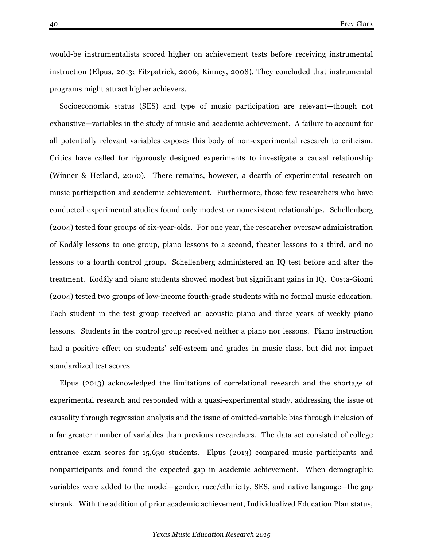would-be instrumentalists scored higher on achievement tests before receiving instrumental instruction (Elpus, 2013; Fitzpatrick, 2006; Kinney, 2008). They concluded that instrumental programs might attract higher achievers.

Socioeconomic status (SES) and type of music participation are relevant—though not exhaustive—variables in the study of music and academic achievement. A failure to account for all potentially relevant variables exposes this body of non-experimental research to criticism. Critics have called for rigorously designed experiments to investigate a causal relationship (Winner & Hetland, 2000). There remains, however, a dearth of experimental research on music participation and academic achievement. Furthermore, those few researchers who have conducted experimental studies found only modest or nonexistent relationships. Schellenberg (2004) tested four groups of six-year-olds. For one year, the researcher oversaw administration of Kodály lessons to one group, piano lessons to a second, theater lessons to a third, and no lessons to a fourth control group. Schellenberg administered an IQ test before and after the treatment. Kodály and piano students showed modest but significant gains in IQ. Costa-Giomi (2004) tested two groups of low-income fourth-grade students with no formal music education. Each student in the test group received an acoustic piano and three years of weekly piano lessons. Students in the control group received neither a piano nor lessons. Piano instruction had a positive effect on students' self-esteem and grades in music class, but did not impact standardized test scores.

Elpus (2013) acknowledged the limitations of correlational research and the shortage of experimental research and responded with a quasi-experimental study, addressing the issue of causality through regression analysis and the issue of omitted-variable bias through inclusion of a far greater number of variables than previous researchers. The data set consisted of college entrance exam scores for 15,630 students. Elpus (2013) compared music participants and nonparticipants and found the expected gap in academic achievement. When demographic variables were added to the model—gender, race/ethnicity, SES, and native language—the gap shrank. With the addition of prior academic achievement, Individualized Education Plan status,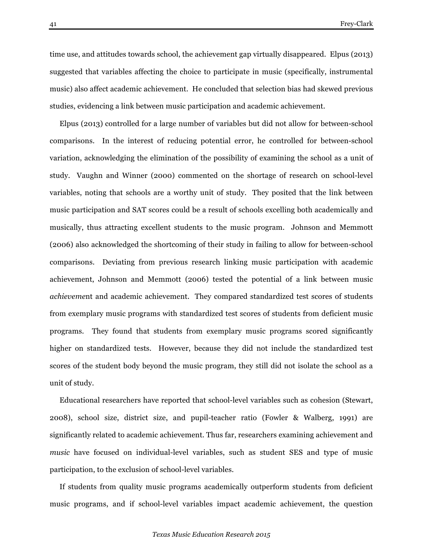time use, and attitudes towards school, the achievement gap virtually disappeared. Elpus (2013) suggested that variables affecting the choice to participate in music (specifically, instrumental music) also affect academic achievement. He concluded that selection bias had skewed previous studies, evidencing a link between music participation and academic achievement.

Elpus (2013) controlled for a large number of variables but did not allow for between-school comparisons. In the interest of reducing potential error, he controlled for between-school variation, acknowledging the elimination of the possibility of examining the school as a unit of study. Vaughn and Winner (2000) commented on the shortage of research on school-level variables, noting that schools are a worthy unit of study. They posited that the link between music participation and SAT scores could be a result of schools excelling both academically and musically, thus attracting excellent students to the music program. Johnson and Memmott (2006) also acknowledged the shortcoming of their study in failing to allow for between-school comparisons. Deviating from previous research linking music participation with academic achievement, Johnson and Memmott (2006) tested the potential of a link between music *achieveme*nt and academic achievement. They compared standardized test scores of students from exemplary music programs with standardized test scores of students from deficient music programs. They found that students from exemplary music programs scored significantly higher on standardized tests. However, because they did not include the standardized test scores of the student body beyond the music program, they still did not isolate the school as a unit of study.

Educational researchers have reported that school-level variables such as cohesion (Stewart, 2008), school size, district size, and pupil-teacher ratio (Fowler & Walberg, 1991) are significantly related to academic achievement. Thus far, researchers examining achievement and *music* have focused on individual-level variables, such as student SES and type of music participation, to the exclusion of school-level variables.

If students from quality music programs academically outperform students from deficient music programs, and if school-level variables impact academic achievement, the question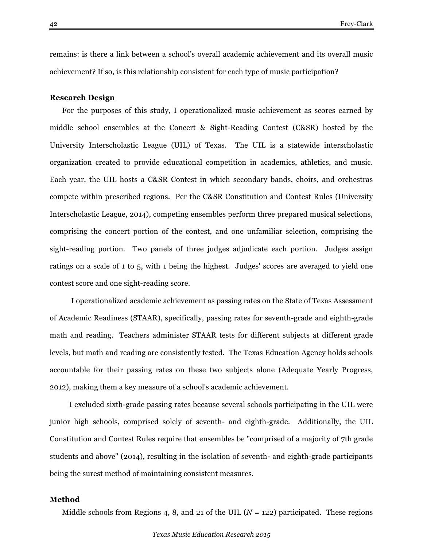remains: is there a link between a school's overall academic achievement and its overall music achievement? If so, is this relationship consistent for each type of music participation?

#### **Research Design**

For the purposes of this study, I operationalized music achievement as scores earned by middle school ensembles at the Concert & Sight-Reading Contest (C&SR) hosted by the University Interscholastic League (UIL) of Texas. The UIL is a statewide interscholastic organization created to provide educational competition in academics, athletics, and music. Each year, the UIL hosts a C&SR Contest in which secondary bands, choirs, and orchestras compete within prescribed regions. Per the C&SR Constitution and Contest Rules (University Interscholastic League, 2014), competing ensembles perform three prepared musical selections, comprising the concert portion of the contest, and one unfamiliar selection, comprising the sight-reading portion. Two panels of three judges adjudicate each portion. Judges assign ratings on a scale of 1 to 5, with 1 being the highest. Judges' scores are averaged to yield one contest score and one sight-reading score.

I operationalized academic achievement as passing rates on the State of Texas Assessment of Academic Readiness (STAAR), specifically, passing rates for seventh-grade and eighth-grade math and reading. Teachers administer STAAR tests for different subjects at different grade levels, but math and reading are consistently tested. The Texas Education Agency holds schools accountable for their passing rates on these two subjects alone (Adequate Yearly Progress, 2012), making them a key measure of a school's academic achievement.

I excluded sixth-grade passing rates because several schools participating in the UIL were junior high schools, comprised solely of seventh- and eighth-grade. Additionally, the UIL Constitution and Contest Rules require that ensembles be "comprised of a majority of 7th grade students and above" (2014), resulting in the isolation of seventh- and eighth-grade participants being the surest method of maintaining consistent measures.

## **Method**

Middle schools from Regions 4, 8, and 21 of the UIL  $(N = 122)$  participated. These regions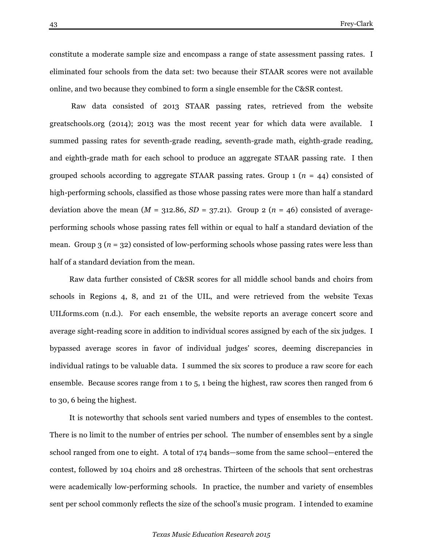constitute a moderate sample size and encompass a range of state assessment passing rates. I eliminated four schools from the data set: two because their STAAR scores were not available online, and two because they combined to form a single ensemble for the C&SR contest.

Raw data consisted of 2013 STAAR passing rates, retrieved from the website greatschools.org (2014); 2013 was the most recent year for which data were available. I summed passing rates for seventh-grade reading, seventh-grade math, eighth-grade reading, and eighth-grade math for each school to produce an aggregate STAAR passing rate. I then grouped schools according to aggregate STAAR passing rates. Group 1 (*n* = 44) consisted of high-performing schools, classified as those whose passing rates were more than half a standard deviation above the mean  $(M = 312.86, SD = 37.21)$ . Group 2  $(n = 46)$  consisted of averageperforming schools whose passing rates fell within or equal to half a standard deviation of the mean. Group 3 (*n* = 32) consisted of low-performing schools whose passing rates were less than half of a standard deviation from the mean.

Raw data further consisted of C&SR scores for all middle school bands and choirs from schools in Regions 4, 8, and 21 of the UIL, and were retrieved from the website Texas UILforms.com (n.d.). For each ensemble, the website reports an average concert score and average sight-reading score in addition to individual scores assigned by each of the six judges. I bypassed average scores in favor of individual judges' scores, deeming discrepancies in individual ratings to be valuable data. I summed the six scores to produce a raw score for each ensemble. Because scores range from 1 to 5, 1 being the highest, raw scores then ranged from 6 to 30, 6 being the highest.

It is noteworthy that schools sent varied numbers and types of ensembles to the contest. There is no limit to the number of entries per school. The number of ensembles sent by a single school ranged from one to eight. A total of 174 bands—some from the same school—entered the contest, followed by 104 choirs and 28 orchestras. Thirteen of the schools that sent orchestras were academically low-performing schools. In practice, the number and variety of ensembles sent per school commonly reflects the size of the school's music program. I intended to examine

#### *Texas Music Education Research 2015*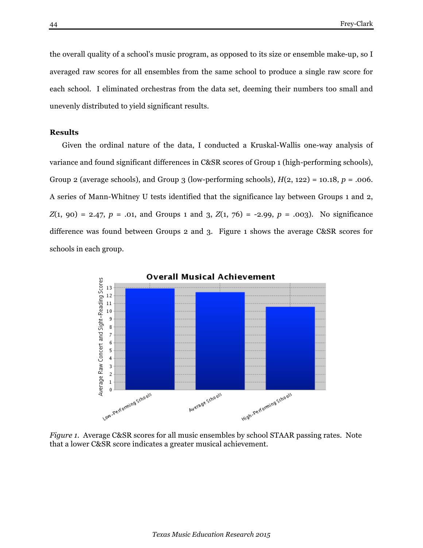the overall quality of a school's music program, as opposed to its size or ensemble make-up, so I averaged raw scores for all ensembles from the same school to produce a single raw score for each school. I eliminated orchestras from the data set, deeming their numbers too small and unevenly distributed to yield significant results.

#### **Results**

Given the ordinal nature of the data, I conducted a Kruskal-Wallis one-way analysis of variance and found significant differences in C&SR scores of Group 1 (high-performing schools), Group 2 (average schools), and Group 3 (low-performing schools), *H*(2, 122) = 10.18, *p* = .006. A series of Mann-Whitney U tests identified that the significance lay between Groups 1 and 2, *Z*(1, 90) = 2.47, *p* = .01, and Groups 1 and 3, *Z*(1, 76) = -2.99, *p* = .003). No significance difference was found between Groups 2 and 3. Figure 1 shows the average C&SR scores for schools in each group.



*Figure 1.* Average C&SR scores for all music ensembles by school STAAR passing rates. Note that a lower C&SR score indicates a greater musical achievement.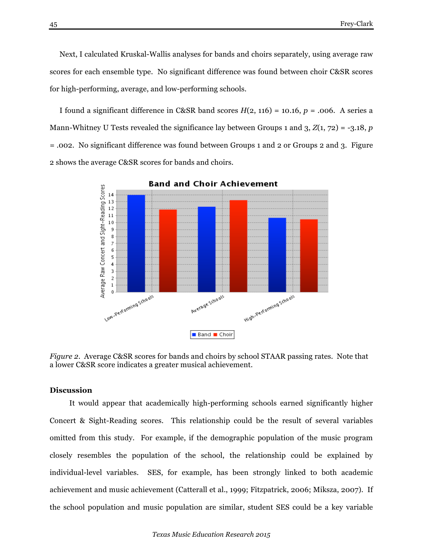Next, I calculated Kruskal-Wallis analyses for bands and choirs separately, using average raw scores for each ensemble type. No significant difference was found between choir C&SR scores for high-performing, average, and low-performing schools.

I found a significant difference in C&SR band scores *H*(2, 116) = 10.16, *p* = .006. A series a Mann-Whitney U Tests revealed the significance lay between Groups 1 and 3, *Z*(1, 72) = -3.18, *p =* .002. No significant difference was found between Groups 1 and 2 or Groups 2 and 3. Figure 2 shows the average C&SR scores for bands and choirs.



*Figure 2.* Average C&SR scores for bands and choirs by school STAAR passing rates. Note that a lower C&SR score indicates a greater musical achievement.

### **Discussion**

It would appear that academically high-performing schools earned significantly higher Concert & Sight-Reading scores. This relationship could be the result of several variables omitted from this study. For example, if the demographic population of the music program closely resembles the population of the school, the relationship could be explained by individual-level variables. SES, for example, has been strongly linked to both academic achievement and music achievement (Catterall et al., 1999; Fitzpatrick, 2006; Miksza, 2007). If the school population and music population are similar, student SES could be a key variable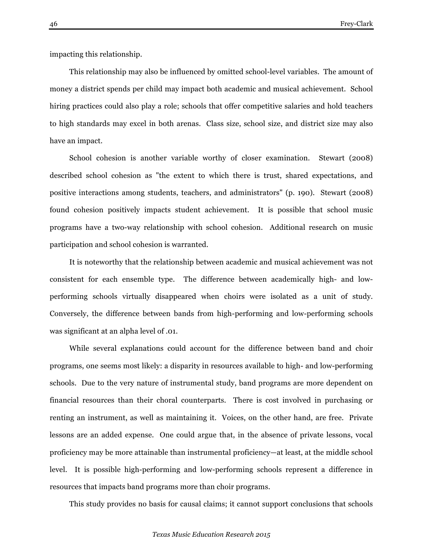impacting this relationship.

This relationship may also be influenced by omitted school-level variables. The amount of money a district spends per child may impact both academic and musical achievement. School hiring practices could also play a role; schools that offer competitive salaries and hold teachers to high standards may excel in both arenas. Class size, school size, and district size may also have an impact.

School cohesion is another variable worthy of closer examination. Stewart (2008) described school cohesion as "the extent to which there is trust, shared expectations, and positive interactions among students, teachers, and administrators" (p. 190). Stewart (2008) found cohesion positively impacts student achievement. It is possible that school music programs have a two-way relationship with school cohesion. Additional research on music participation and school cohesion is warranted.

It is noteworthy that the relationship between academic and musical achievement was not consistent for each ensemble type. The difference between academically high- and lowperforming schools virtually disappeared when choirs were isolated as a unit of study. Conversely, the difference between bands from high-performing and low-performing schools was significant at an alpha level of .01.

While several explanations could account for the difference between band and choir programs, one seems most likely: a disparity in resources available to high- and low-performing schools. Due to the very nature of instrumental study, band programs are more dependent on financial resources than their choral counterparts. There is cost involved in purchasing or renting an instrument, as well as maintaining it. Voices, on the other hand, are free. Private lessons are an added expense. One could argue that, in the absence of private lessons, vocal proficiency may be more attainable than instrumental proficiency—at least, at the middle school level. It is possible high-performing and low-performing schools represent a difference in resources that impacts band programs more than choir programs.

This study provides no basis for causal claims; it cannot support conclusions that schools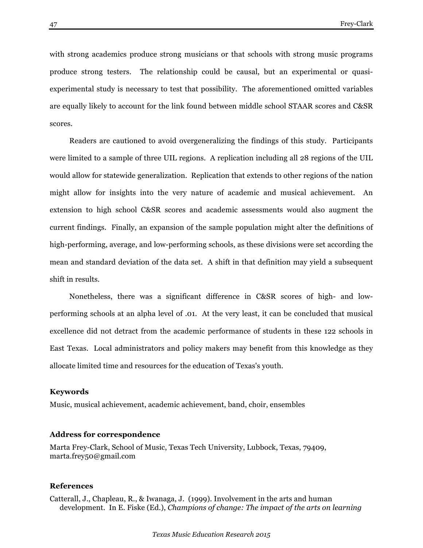with strong academics produce strong musicians or that schools with strong music programs produce strong testers. The relationship could be causal, but an experimental or quasiexperimental study is necessary to test that possibility. The aforementioned omitted variables are equally likely to account for the link found between middle school STAAR scores and C&SR scores.

Readers are cautioned to avoid overgeneralizing the findings of this study. Participants were limited to a sample of three UIL regions. A replication including all 28 regions of the UIL would allow for statewide generalization. Replication that extends to other regions of the nation might allow for insights into the very nature of academic and musical achievement. An extension to high school C&SR scores and academic assessments would also augment the current findings. Finally, an expansion of the sample population might alter the definitions of high-performing, average, and low-performing schools, as these divisions were set according the mean and standard deviation of the data set. A shift in that definition may yield a subsequent shift in results.

Nonetheless, there was a significant difference in C&SR scores of high- and lowperforming schools at an alpha level of .01. At the very least, it can be concluded that musical excellence did not detract from the academic performance of students in these 122 schools in East Texas. Local administrators and policy makers may benefit from this knowledge as they allocate limited time and resources for the education of Texas's youth.

## **Keywords**

Music, musical achievement, academic achievement, band, choir, ensembles

#### **Address for correspondence**

Marta Frey-Clark, School of Music, Texas Tech University, Lubbock, Texas, 79409, marta.frey50@gmail.com

#### **References**

Catterall, J., Chapleau, R., & Iwanaga, J. (1999). Involvement in the arts and human development. In E. Fiske (Ed.), *Champions of change: The impact of the arts on learning*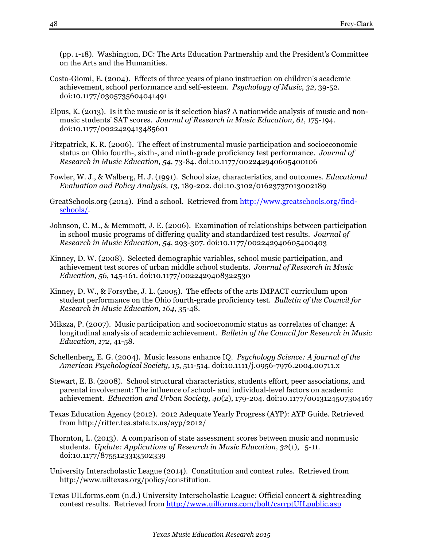(pp. 1-18). Washington, DC: The Arts Education Partnership and the President's Committee on the Arts and the Humanities.

- Costa-Giomi, E. (2004). Effects of three years of piano instruction on children's academic achievement, school performance and self-esteem. *Psychology of Music*, *32*, 39-52. doi:10.1177/0305735604041491
- Elpus, K. (2013). Is it the music or is it selection bias? A nationwide analysis of music and nonmusic students' SAT scores. *Journal of Research in Music Education, 61*, 175-194. doi:10.1177/0022429413485601
- Fitzpatrick, K. R. (2006). The effect of instrumental music participation and socioeconomic status on Ohio fourth-, sixth-, and ninth-grade proficiency test performance. *Journal of Research in Music Education, 54*, 73-84. doi:10.1177/002242940605400106
- Fowler, W. J., & Walberg, H. J. (1991). School size, characteristics, and outcomes. *Educational Evaluation and Policy Analysis, 13*, 189-202. doi:10.3102/01623737013002189
- GreatSchools.org (2014). Find a school. Retrieved from http://www.greatschools.org/findschools/.
- Johnson, C. M., & Memmott, J. E. (2006). Examination of relationships between participation in school music programs of differing quality and standardized test results. *Journal of Research in Music Education, 54*, 293-307. doi:10.1177/002242940605400403
- Kinney, D. W. (2008). Selected demographic variables, school music participation, and achievement test scores of urban middle school students. *Journal of Research in Music Education, 56*, 145-161. doi:10.1177/0022429408322530
- Kinney, D. W., & Forsythe, J. L. (2005). The effects of the arts IMPACT curriculum upon student performance on the Ohio fourth-grade proficiency test. *Bulletin of the Council for Research in Music Education, 164*, 35-48.
- Miksza, P. (2007). Music participation and socioeconomic status as correlates of change: A longitudinal analysis of academic achievement. *Bulletin of the Council for Research in Music Education, 172*, 41-58.
- Schellenberg, E. G. (2004). Music lessons enhance IQ. *Psychology Science: A journal of the American Psychological Society, 15*, 511-514. doi:10.1111/j.0956-7976.2004.00711.x
- Stewart, E. B. (2008). School structural characteristics, students effort, peer associations, and parental involvement: The influence of school- and individual-level factors on academic achievement. *Education and Urban Society, 40*(2), 179-204. doi:10.1177/0013124507304167
- Texas Education Agency (2012). 2012 Adequate Yearly Progress (AYP): AYP Guide. Retrieved from http://ritter.tea.state.tx.us/ayp/2012/
- Thornton, L. (2013). A comparison of state assessment scores between music and nonmusic students. *Update: Applications of Research in Music Education, 32*(1), 5-11. doi:10.1177/8755123313502339
- University Interscholastic League (2014). Constitution and contest rules. Retrieved from http://www.uiltexas.org/policy/constitution.
- Texas UILforms.com (n.d.) University Interscholastic League: Official concert & sightreading contest results. Retrieved from http://www.uilforms.com/bolt/csrrptUILpublic.asp